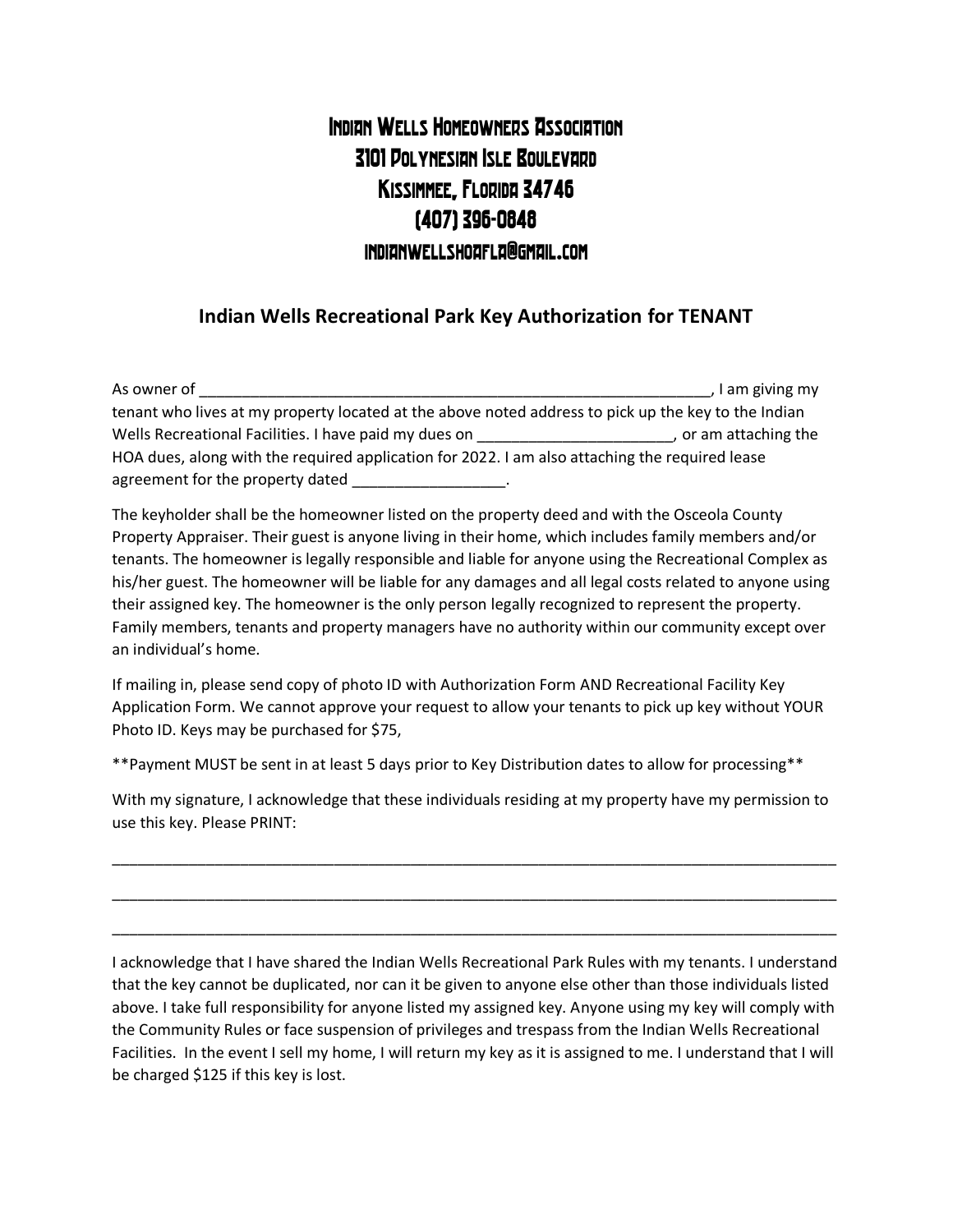## Indian Wells Homeowners Association 3101 Polynesian Isle Boulevard Kissimmee, Florida 34746 (407) 396-0848 indianwellshoafla@gmail.com

## **Indian Wells Recreational Park Key Authorization for TENANT**

| As owner of                                                                                         | I am giving my        |
|-----------------------------------------------------------------------------------------------------|-----------------------|
| tenant who lives at my property located at the above noted address to pick up the key to the Indian |                       |
| Wells Recreational Facilities. I have paid my dues on                                               | , or am attaching the |
| HOA dues, along with the required application for 2022. I am also attaching the required lease      |                       |
| agreement for the property dated                                                                    |                       |

The keyholder shall be the homeowner listed on the property deed and with the Osceola County Property Appraiser. Their guest is anyone living in their home, which includes family members and/or tenants. The homeowner is legally responsible and liable for anyone using the Recreational Complex as his/her guest. The homeowner will be liable for any damages and all legal costs related to anyone using their assigned key. The homeowner is the only person legally recognized to represent the property. Family members, tenants and property managers have no authority within our community except over an individual's home.

If mailing in, please send copy of photo ID with Authorization Form AND Recreational Facility Key Application Form. We cannot approve your request to allow your tenants to pick up key without YOUR Photo ID. Keys may be purchased for \$75,

\*\*Payment MUST be sent in at least 5 days prior to Key Distribution dates to allow for processing\*\*

With my signature, I acknowledge that these individuals residing at my property have my permission to use this key. Please PRINT:

\_\_\_\_\_\_\_\_\_\_\_\_\_\_\_\_\_\_\_\_\_\_\_\_\_\_\_\_\_\_\_\_\_\_\_\_\_\_\_\_\_\_\_\_\_\_\_\_\_\_\_\_\_\_\_\_\_\_\_\_\_\_\_\_\_\_\_\_\_\_\_\_\_\_\_\_\_\_\_\_\_\_\_\_\_

\_\_\_\_\_\_\_\_\_\_\_\_\_\_\_\_\_\_\_\_\_\_\_\_\_\_\_\_\_\_\_\_\_\_\_\_\_\_\_\_\_\_\_\_\_\_\_\_\_\_\_\_\_\_\_\_\_\_\_\_\_\_\_\_\_\_\_\_\_\_\_\_\_\_\_\_\_\_\_\_\_\_\_\_\_

\_\_\_\_\_\_\_\_\_\_\_\_\_\_\_\_\_\_\_\_\_\_\_\_\_\_\_\_\_\_\_\_\_\_\_\_\_\_\_\_\_\_\_\_\_\_\_\_\_\_\_\_\_\_\_\_\_\_\_\_\_\_\_\_\_\_\_\_\_\_\_\_\_\_\_\_\_\_\_\_\_\_\_\_\_

I acknowledge that I have shared the Indian Wells Recreational Park Rules with my tenants. I understand that the key cannot be duplicated, nor can it be given to anyone else other than those individuals listed above. I take full responsibility for anyone listed my assigned key. Anyone using my key will comply with the Community Rules or face suspension of privileges and trespass from the Indian Wells Recreational Facilities. In the event I sell my home, I will return my key as it is assigned to me. I understand that I will be charged \$125 if this key is lost.